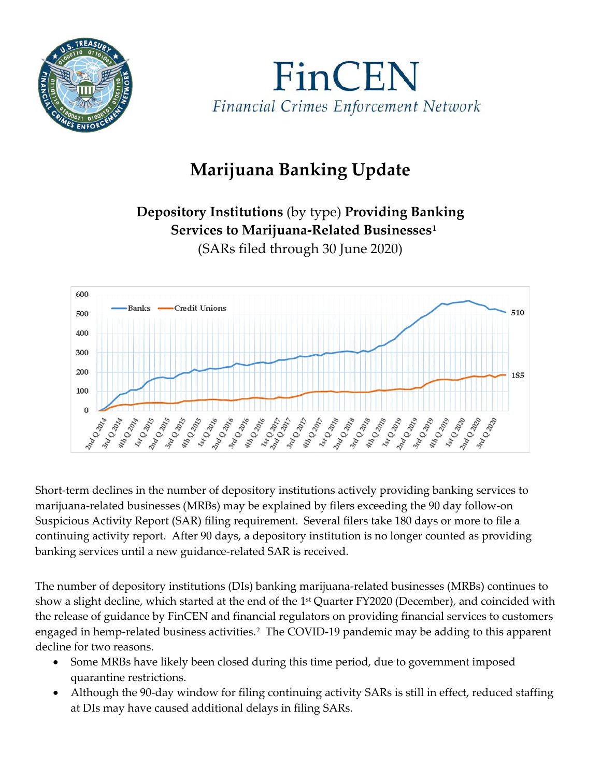



## **Marijuana Banking Update**

## **Depository Institutions** (by type) **Providing Banking Services to Marijuana-Related Businesses[1](#page-1-0)** (SARs filed through 30 June 2020)



Short-term declines in the number of depository institutions actively providing banking services to marijuana-related businesses (MRBs) may be explained by filers exceeding the 90 day follow-on Suspicious Activity Report (SAR) filing requirement. Several filers take 180 days or more to file a continuing activity report. After 90 days, a depository institution is no longer counted as providing banking services until a new guidance-related SAR is received.

The number of depository institutions (DIs) banking marijuana-related businesses (MRBs) continues to show a slight decline, which started at the end of the 1<sup>st</sup> Quarter FY2020 (December), and coincided with the release of guidance by FinCEN and financial regulators on providing financial services to customers engaged in hemp-related business activities.<sup>2</sup> The COVID-19 pandemic may be adding to this apparent decline for two reasons.

- Some MRBs have likely been closed during this time period, due to government imposed quarantine restrictions.
- Although the 90-day window for filing continuing activity SARs is still in effect, reduced staffing at DIs may have caused additional delays in filing SARs.